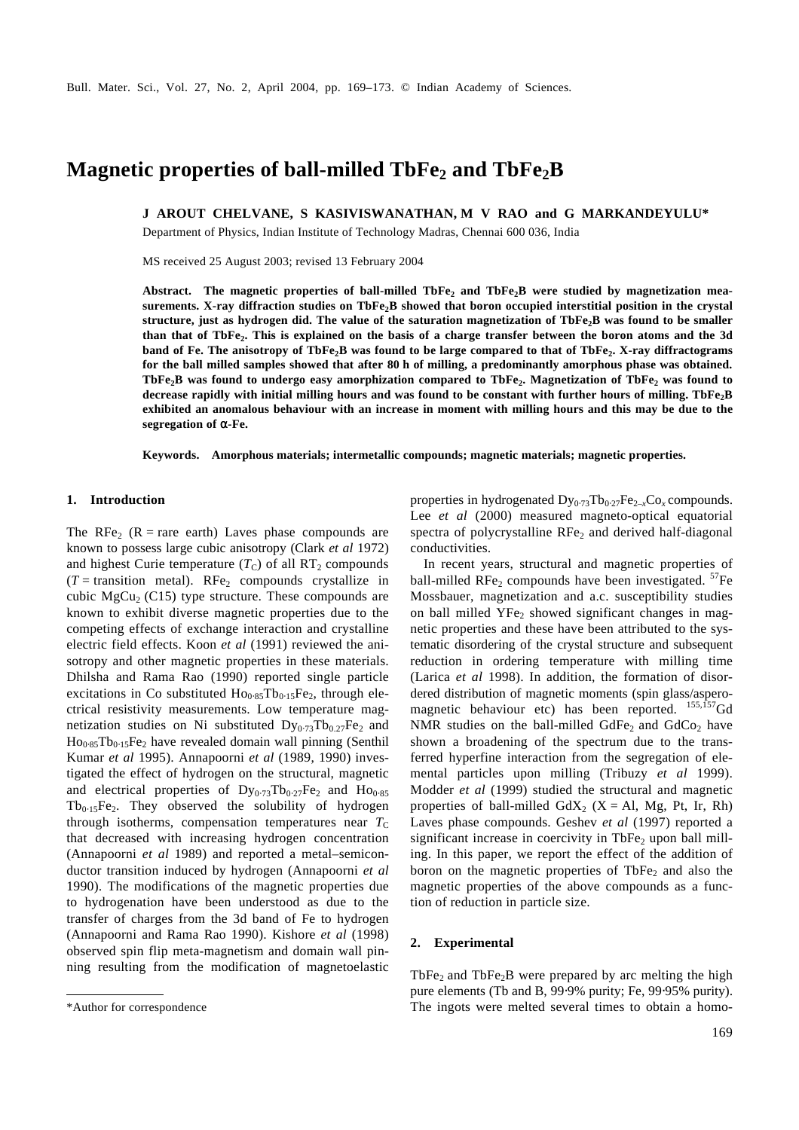# **Magnetic properties of ball-milled TbFe2 and TbFe2B**

**J AROUT CHELVANE, S KASIVISWANATHAN, M V RAO and G MARKANDEYULU\***

Department of Physics, Indian Institute of Technology Madras, Chennai 600 036, India

MS received 25 August 2003; revised 13 February 2004

**Abstract. The magnetic properties of ball-milled TbFe<sup>2</sup> and TbFe2B were studied by magnetization measurements. X-ray diffraction studies on TbFe2B showed that boron occupied interstitial position in the crystal structure, just as hydrogen did. The value of the saturation magnetization of TbFe2B was found to be smaller than that of TbFe<sup>2</sup> . This is explained on the basis of a charge transfer between the boron atoms and the 3d band of Fe. The anisotropy of TbFe2B was found to be large compared to that of TbFe<sup>2</sup> . X-ray diffractograms for the ball milled samples showed that after 80 h of milling, a predominantly amorphous phase was obtained. TbFe2B was found to undergo easy amorphization compared to TbFe<sup>2</sup> . Magnetization of TbFe<sup>2</sup> was found to decrease rapidly with initial milling hours and was found to be constant with further hours of milling. TbFe2B exhibited an anomalous behaviour with an increase in moment with milling hours and this may be due to the segregation of** *a-***Fe.**

**Keywords. Amorphous materials; intermetallic compounds; magnetic materials; magnetic properties.**

# **1. Introduction**

The RFe<sub>2</sub> (R = rare earth) Laves phase compounds are known to possess large cubic anisotropy (Clark *et al* 1972) and highest Curie temperature  $(T_C)$  of all RT<sub>2</sub> compounds  $(T =$  transition metal). RFe<sub>2</sub> compounds crystallize in cubic  $MgCu<sub>2</sub>$  (C15) type structure. These compounds are known to exhibit diverse magnetic properties due to the competing effects of exchange interaction and crystalline electric field effects. Koon *et al* (1991) reviewed the anisotropy and other magnetic properties in these materials. Dhilsha and Rama Rao (1990) reported single particle excitations in Co substituted  $Ho<sub>0.85</sub>Tb<sub>0.15</sub>Fe<sub>2</sub>$ , through electrical resistivity measurements. Low temperature magnetization studies on Ni substituted  $Dy_{0.73}Tb_{0.27}Fe_2$  and  $Ho<sub>0.85</sub>Tb<sub>0.15</sub>Fe<sub>2</sub> have revealed domain wall pinning (Senthil)$ Kumar *et al* 1995). Annapoorni *et al* (1989, 1990) investigated the effect of hydrogen on the structural, magnetic and electrical properties of  $Dy_{0.73}Tb_{0.27}Fe_2$  and  $Ho_{0.85}$  $Tb_{0.15}Fe_2$ . They observed the solubility of hydrogen through isotherms, compensation temperatures near  $T<sub>C</sub>$ that decreased with increasing hydrogen concentration (Annapoorni *et al* 1989) and reported a metal–semiconductor transition induced by hydrogen (Annapoorni *et al* 1990). The modifications of the magnetic properties due to hydrogenation have been understood as due to the transfer of charges from the 3d band of Fe to hydrogen (Annapoorni and Rama Rao 1990). Kishore *et al* (1998) observed spin flip meta-magnetism and domain wall pinning resulting from the modification of magnetoelastic

properties in hydrogenated Dy<sub>0</sub>.73</sub>Tb<sub>0</sub>.27Fe<sub>2–x</sub>Co<sub>x</sub> compounds. Lee *et al* (2000) measured magneto-optical equatorial spectra of polycrystalline  $\text{RFe}_2$  and derived half-diagonal conductivities.

In recent years, structural and magnetic properties of ball-milled RFe<sub>2</sub> compounds have been investigated.  $57Fe$ Mossbauer, magnetization and a.c. susceptibility studies on ball milled  $YFe<sub>2</sub>$  showed significant changes in magnetic properties and these have been attributed to the systematic disordering of the crystal structure and subsequent reduction in ordering temperature with milling time (Larica *et al* 1998). In addition, the formation of disordered distribution of magnetic moments (spin glass/asperomagnetic behaviour etc) has been reported.  $^{155,157}$ Gd NMR studies on the ball-milled GdFe<sub>2</sub> and GdCo<sub>2</sub> have shown a broadening of the spectrum due to the transferred hyperfine interaction from the segregation of elemental particles upon milling (Tribuzy *et al* 1999). Modder *et al* (1999) studied the structural and magnetic properties of ball-milled  $GdX_2$  (X = Al, Mg, Pt, Ir, Rh) Laves phase compounds. Geshev *et al* (1997) reported a significant increase in coercivity in TbFe<sub>2</sub> upon ball milling. In this paper, we report the effect of the addition of boron on the magnetic properties of  $\text{TbFe}_2$  and also the magnetic properties of the above compounds as a function of reduction in particle size.

# **2. Experimental**

TbFe<sub>2</sub> and TbFe<sub>2</sub>B were prepared by arc melting the high pure elements (Tb and B, 99⋅9% purity; Fe, 99⋅95% purity). \*Author for correspondence The ingots were melted several times to obtain a homo-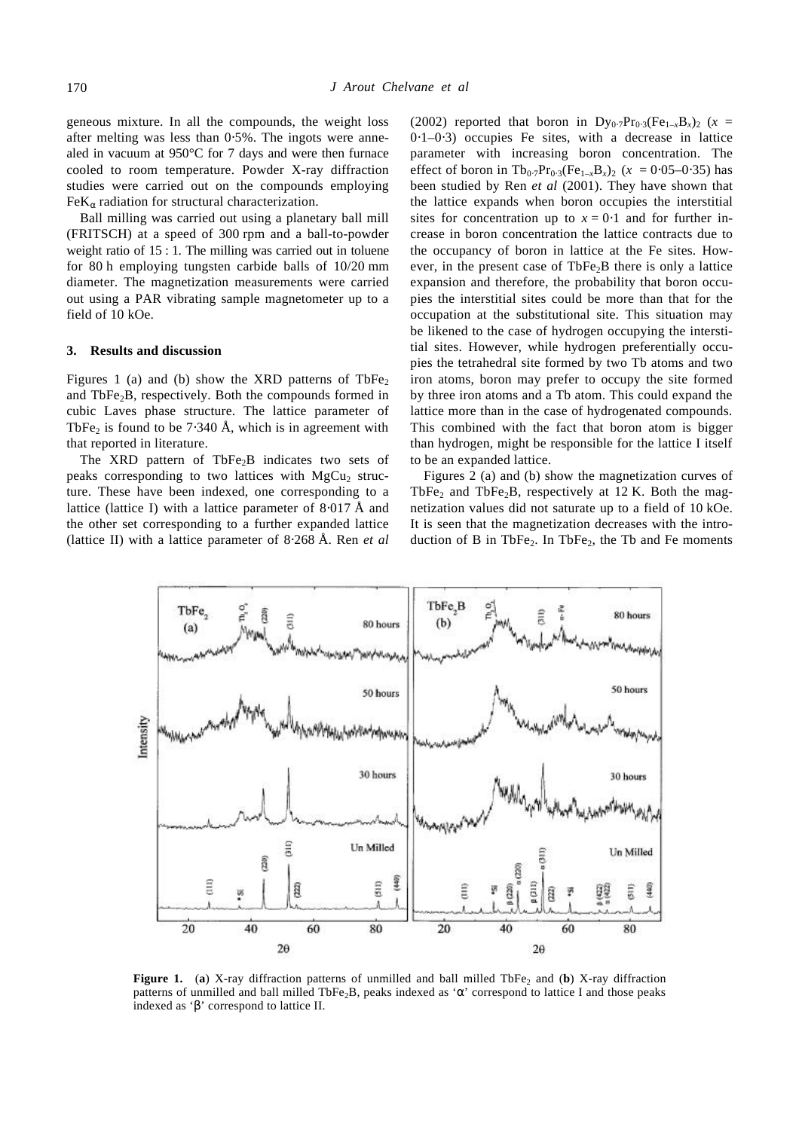geneous mixture. In all the compounds, the weight loss after melting was less than 0⋅5%. The ingots were annealed in vacuum at 950°C for 7 days and were then furnace cooled to room temperature. Powder X-ray diffraction studies were carried out on the compounds employing FeK*<sup>a</sup>* radiation for structural characterization.

Ball milling was carried out using a planetary ball mill (FRITSCH) at a speed of 300 rpm and a ball-to-powder weight ratio of 15 : 1. The milling was carried out in toluene for 80 h employing tungsten carbide balls of 10/20 mm diameter. The magnetization measurements were carried out using a PAR vibrating sample magnetometer up to a field of 10 kOe.

#### **3. Results and discussion**

Figures 1 (a) and (b) show the XRD patterns of  $\text{TbFe}_2$ and  $TbFe<sub>2</sub>B$ , respectively. Both the compounds formed in cubic Laves phase structure. The lattice parameter of TbFe<sub>2</sub> is found to be 7⋅340 Å, which is in agreement with that reported in literature.

The XRD pattern of  $TbFe<sub>2</sub>B$  indicates two sets of peaks corresponding to two lattices with  $MgCu<sub>2</sub>$  structure. These have been indexed, one corresponding to a lattice (lattice I) with a lattice parameter of 8⋅017 Å and the other set corresponding to a further expanded lattice (lattice II) with a lattice parameter of 8⋅268 Å. Ren *et al* (2002) reported that boron in  $Dy_{0.7}Pr_{0.3}(Fe_{1-x}B_x)_2$  (*x* = 0⋅1–0⋅3) occupies Fe sites, with a decrease in lattice parameter with increasing boron concentration. The effect of boron in Tb<sub>0⋅7</sub>Pr<sub>0⋅3</sub>(Fe<sub>1-x</sub>B<sub>x</sub>)<sub>2</sub> ( $x = 0.05-0.35$ ) has been studied by Ren *et al* (2001). They have shown that the lattice expands when boron occupies the interstitial sites for concentration up to  $x = 0.1$  and for further increase in boron concentration the lattice contracts due to the occupancy of boron in lattice at the Fe sites. However, in the present case of  $TbFe<sub>2</sub>B$  there is only a lattice expansion and therefore, the probability that boron occupies the interstitial sites could be more than that for the occupation at the substitutional site. This situation may be likened to the case of hydrogen occupying the interstitial sites. However, while hydrogen preferentially occupies the tetrahedral site formed by two Tb atoms and two iron atoms, boron may prefer to occupy the site formed by three iron atoms and a Tb atom. This could expand the lattice more than in the case of hydrogenated compounds. This combined with the fact that boron atom is bigger than hydrogen, might be responsible for the lattice I itself to be an expanded lattice.

Figures 2 (a) and (b) show the magnetization curves of TbFe<sub>2</sub> and TbFe<sub>2</sub>B, respectively at 12 K. Both the magnetization values did not saturate up to a field of 10 kOe. It is seen that the magnetization decreases with the introduction of B in TbFe<sub>2</sub>. In TbFe<sub>2</sub>, the Tb and Fe moments



**Figure 1.** (a) X-ray diffraction patterns of unmilled and ball milled TbFe<sub>2</sub> and (b) X-ray diffraction patterns of unmilled and ball milled TbFe2B, peaks indexed as '*a*' correspond to lattice I and those peaks indexed as '*b*' correspond to lattice II.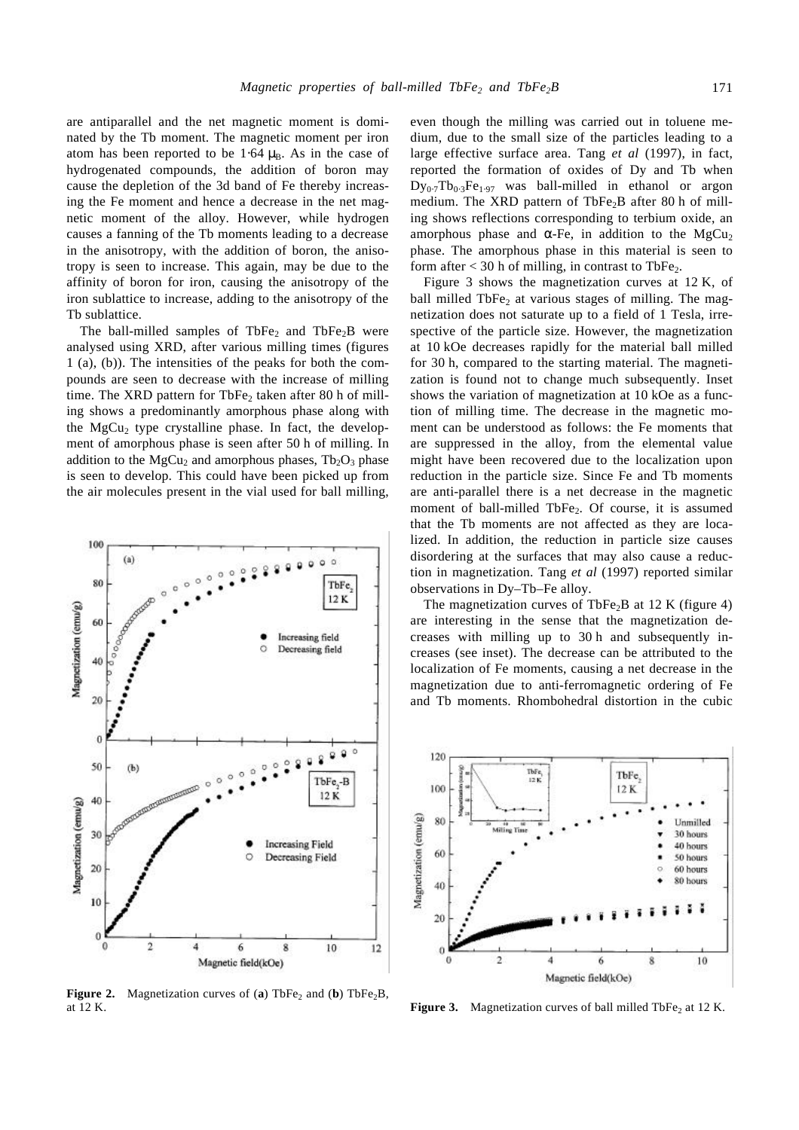are antiparallel and the net magnetic moment is dominated by the Tb moment. The magnetic moment per iron atom has been reported to be 1⋅64  $\mu_B$ . As in the case of hydrogenated compounds, the addition of boron may cause the depletion of the 3d band of Fe thereby increasing the Fe moment and hence a decrease in the net magnetic moment of the alloy. However, while hydrogen causes a fanning of the Tb moments leading to a decrease in the anisotropy, with the addition of boron, the anisotropy is seen to increase. This again, may be due to the affinity of boron for iron, causing the anisotropy of the iron sublattice to increase, adding to the anisotropy of the Tb sublattice.

The ball-milled samples of TbFe<sub>2</sub> and TbFe<sub>2</sub>B were analysed using XRD, after various milling times (figures 1 (a), (b)). The intensities of the peaks for both the compounds are seen to decrease with the increase of milling time. The XRD pattern for TbFe<sub>2</sub> taken after 80 h of milling shows a predominantly amorphous phase along with the  $MgCu<sub>2</sub>$  type crystalline phase. In fact, the development of amorphous phase is seen after 50 h of milling. In addition to the  $MgCu<sub>2</sub>$  and amorphous phases,  $Tb<sub>2</sub>O<sub>3</sub>$  phase is seen to develop. This could have been picked up from the air molecules present in the vial used for ball milling,



**Figure 2.** Magnetization curves of (**a**) TbFe<sub>2</sub> and (**b**) TbFe<sub>2</sub>B, at 12 K. at 12 K. **Figure 3.** Magnetization curves of ball milled TbFe<sub>2</sub> at 12 K.

even though the milling was carried out in toluene medium, due to the small size of the particles leading to a large effective surface area. Tang *et al* (1997), in fact, reported the formation of oxides of Dy and Tb when  $Dy_{0.7}Tb_{0.3}Fe_{1.97}$  was ball-milled in ethanol or argon medium. The XRD pattern of  $TbFe<sub>2</sub>B$  after 80 h of milling shows reflections corresponding to terbium oxide, an amorphous phase and  $a$ -Fe, in addition to the MgCu<sub>2</sub> phase. The amorphous phase in this material is seen to form after  $<$  30 h of milling, in contrast to TbFe<sub>2</sub>.

Figure 3 shows the magnetization curves at 12 K, of ball milled  $TbFe<sub>2</sub>$  at various stages of milling. The magnetization does not saturate up to a field of 1 Tesla, irrespective of the particle size. However, the magnetization at 10 kOe decreases rapidly for the material ball milled for 30 h, compared to the starting material. The magnetization is found not to change much subsequently. Inset shows the variation of magnetization at 10 kOe as a function of milling time. The decrease in the magnetic moment can be understood as follows: the Fe moments that are suppressed in the alloy, from the elemental value might have been recovered due to the localization upon reduction in the particle size. Since Fe and Tb moments are anti-parallel there is a net decrease in the magnetic moment of ball-milled TbFe<sub>2</sub>. Of course, it is assumed that the Tb moments are not affected as they are localized. In addition, the reduction in particle size causes disordering at the surfaces that may also cause a reduction in magnetization. Tang *et al* (1997) reported similar observations in Dy–Tb–Fe alloy.

The magnetization curves of TbFe<sub>2</sub>B at 12 K (figure 4) are interesting in the sense that the magnetization decreases with milling up to 30 h and subsequently increases (see inset). The decrease can be attributed to the localization of Fe moments, causing a net decrease in the magnetization due to anti-ferromagnetic ordering of Fe and Tb moments. Rhombohedral distortion in the cubic

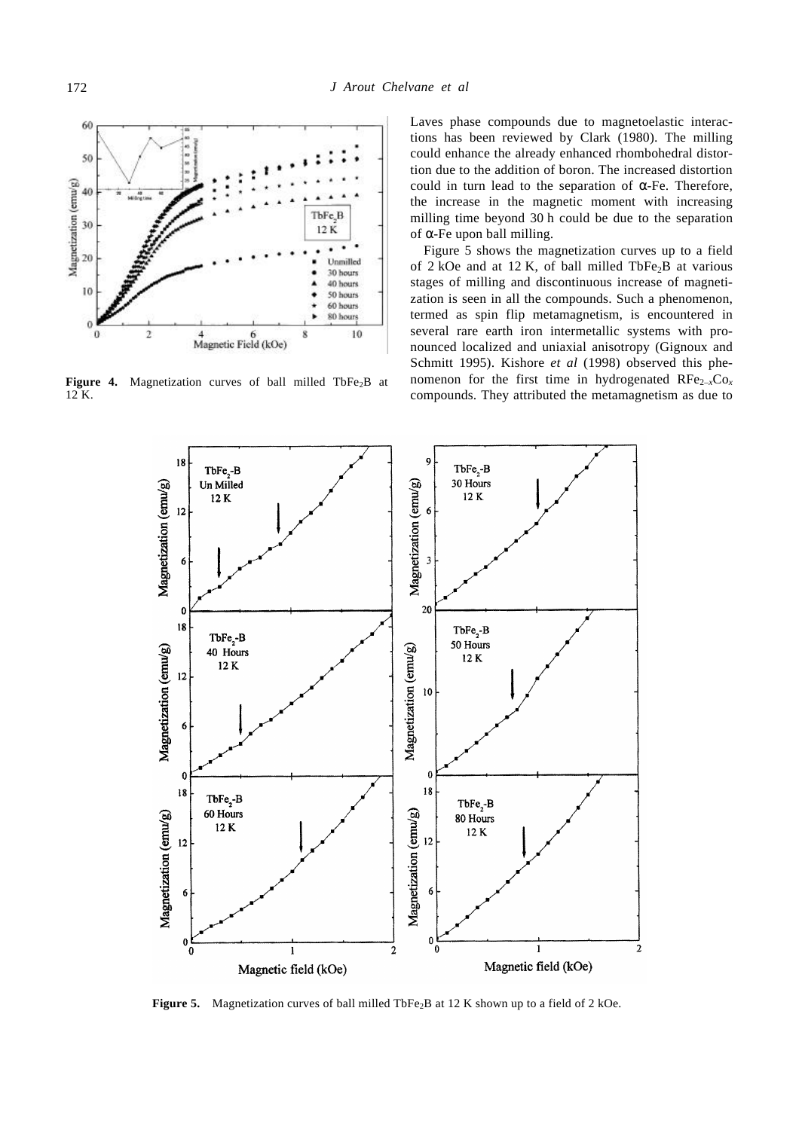

Figure 4. Magnetization curves of ball milled TbFe<sub>2</sub>B at 12 K.

Laves phase compounds due to magnetoelastic interactions has been reviewed by Clark (1980). The milling could enhance the already enhanced rhombohedral distortion due to the addition of boron. The increased distortion could in turn lead to the separation of *a*-Fe. Therefore, the increase in the magnetic moment with increasing milling time beyond 30 h could be due to the separation of *a*-Fe upon ball milling.

Figure 5 shows the magnetization curves up to a field of 2 kOe and at 12 K, of ball milled  $TbFe<sub>2</sub>B$  at various stages of milling and discontinuous increase of magnetization is seen in all the compounds. Such a phenomenon, termed as spin flip metamagnetism, is encountered in several rare earth iron intermetallic systems with pronounced localized and uniaxial anisotropy (Gignoux and Schmitt 1995). Kishore *et al* (1998) observed this phenomenon for the first time in hydrogenated  $\text{RFe}_{2-x}\text{Co}_x$ compounds. They attributed the metamagnetism as due to



Figure 5. Magnetization curves of ball milled TbFe<sub>2</sub>B at 12 K shown up to a field of 2 kOe.